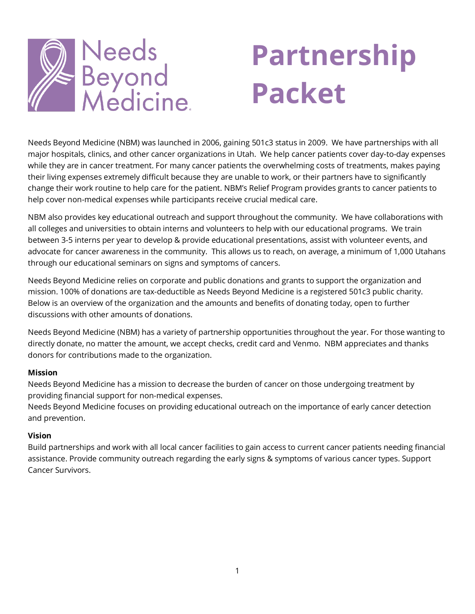

# **Partnership Packet**

Needs Beyond Medicine (NBM) was launched in 2006, gaining 501c3 status in 2009. We have partnerships with all major hospitals, clinics, and other cancer organizations in Utah. We help cancer patients cover day-to-day expenses while they are in cancer treatment. For many cancer patients the overwhelming costs of treatments, makes paying their living expenses extremely difficult because they are unable to work, or their partners have to significantly change their work routine to help care for the patient. NBM's Relief Program provides grants to cancer patients to help cover non-medical expenses while participants receive crucial medical care.

NBM also provides key educational outreach and support throughout the community. We have collaborations with all colleges and universities to obtain interns and volunteers to help with our educational programs. We train between 3-5 interns per year to develop & provide educational presentations, assist with volunteer events, and advocate for cancer awareness in the community. This allows us to reach, on average, a minimum of 1,000 Utahans through our educational seminars on signs and symptoms of cancers.

Needs Beyond Medicine relies on corporate and public donations and grants to support the organization and mission. 100% of donations are tax-deductible as Needs Beyond Medicine is a registered 501c3 public charity. Below is an overview of the organization and the amounts and benefits of donating today, open to further discussions with other amounts of donations.

Needs Beyond Medicine (NBM) has a variety of partnership opportunities throughout the year. For those wanting to directly donate, no matter the amount, we accept checks, credit card and Venmo. NBM appreciates and thanks donors for contributions made to the organization.

#### **Mission**

Needs Beyond Medicine has a mission to decrease the burden of cancer on those undergoing treatment by providing financial support for non-medical expenses.

Needs Beyond Medicine focuses on providing educational outreach on the importance of early cancer detection and prevention.

#### **Vision**

Build partnerships and work with all local cancer facilities to gain access to current cancer patients needing financial assistance. Provide community outreach regarding the early signs & symptoms of various cancer types. Support Cancer Survivors.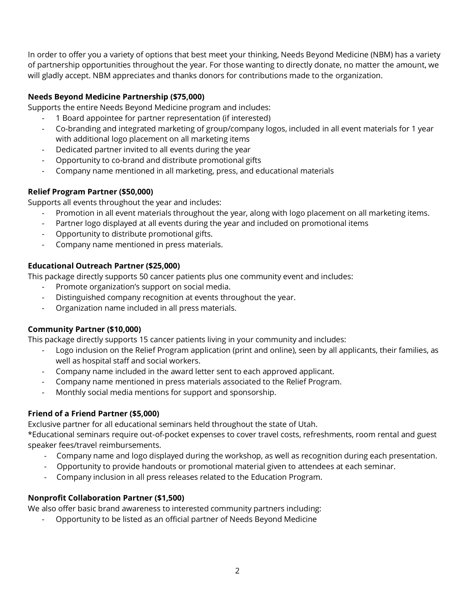In order to offer you a variety of options that best meet your thinking, Needs Beyond Medicine (NBM) has a variety of partnership opportunities throughout the year. For those wanting to directly donate, no matter the amount, we will gladly accept. NBM appreciates and thanks donors for contributions made to the organization.

# **Needs Beyond Medicine Partnership (\$75,000)**

Supports the entire Needs Beyond Medicine program and includes:

- 1 Board appointee for partner representation (if interested)
- Co-branding and integrated marketing of group/company logos, included in all event materials for 1 year with additional logo placement on all marketing items
- Dedicated partner invited to all events during the year
- Opportunity to co-brand and distribute promotional gifts
- Company name mentioned in all marketing, press, and educational materials

## **Relief Program Partner (\$50,000)**

Supports all events throughout the year and includes:

- Promotion in all event materials throughout the year, along with logo placement on all marketing items.
- Partner logo displayed at all events during the year and included on promotional items
- Opportunity to distribute promotional gifts.
- Company name mentioned in press materials.

## **Educational Outreach Partner (\$25,000)**

This package directly supports 50 cancer patients plus one community event and includes:

- Promote organization's support on social media.
- Distinguished company recognition at events throughout the year.
- Organization name included in all press materials.

# **Community Partner (\$10,000)**

This package directly supports 15 cancer patients living in your community and includes:

- Logo inclusion on the Relief Program application (print and online), seen by all applicants, their families, as well as hospital staff and social workers.
- Company name included in the award letter sent to each approved applicant.
- Company name mentioned in press materials associated to the Relief Program.
- Monthly social media mentions for support and sponsorship.

# **Friend of a Friend Partner (\$5,000)**

Exclusive partner for all educational seminars held throughout the state of Utah.

\*Educational seminars require out-of-pocket expenses to cover travel costs, refreshments, room rental and guest speaker fees/travel reimbursements.

- Company name and logo displayed during the workshop, as well as recognition during each presentation.
- Opportunity to provide handouts or promotional material given to attendees at each seminar.
- Company inclusion in all press releases related to the Education Program.

# **Nonprofit Collaboration Partner (\$1,500)**

We also offer basic brand awareness to interested community partners including:

- Opportunity to be listed as an official partner of Needs Beyond Medicine